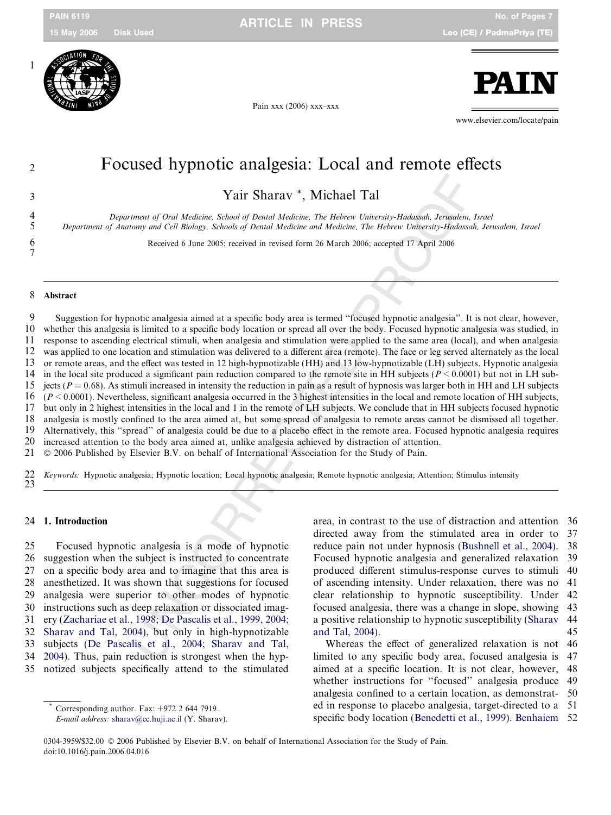

Pain xxx (2006) xxx–xxx



www.elsevier.com/locate/pain

# $\begin{array}{c} \mathbf{PAL} \\ \hline \end{array}$ <br>
Pain xxx (2006) xxx-xxx<br>
Pain xxx (2006) xxx-xxx<br>
Pain xxx (2006) xxx-xxx<br>
Pain xxx (2006) xxx-xxx<br>
Pain xxx (2006) xxx-xxx<br>
Pain xxx (2006) xxx-xxx<br>  $\blacksquare$

3 Yair Sharav \*, Michael Tal

4 Department of Oral Medicine, School of Dental Medicine, The Hebrew University-Hadassah, Jerusalem, Israel<br>5 Department of Anatomy and Cell Biology, Schools of Dental Medicine and Medicine, The Hebrew University-Hadassah, 5 Department of Anatomy and Cell Biology, Schools of Dental Medicine and Medicine, The Hebrew University-Hadassah, Jerusalem, Israel

6 Received 6 June 2005; received in revised form 26 March 2006; accepted 17 April 2006<br>7<br>**Abstract** 

**Yair Sharav** \*, **Michael Tal**<br>
mean of Oral Medicine, Schools of Dental Medicine, The Hebrers University-Hadatakh, Jerusalem,<br>
mony and Cell Biology, Schools of Dental Medicine, and Medicine, The Hebrers University-Hadat 9 Suggestion for hypnotic analgesia aimed at a specific body area is termed ''focused hypnotic analgesia''. It is not clear, however, 10 whether this analgesia is limited to a specific body location or spread all over the body. Focused hypnotic analgesia was studied, in 11 response to ascending electrical stimuli, when analgesia and stimulation were applied to the same area (local), and when analgesia 12 was applied to one location and stimulation was delivered to a different area (remote). The face or leg served alternately as the local 13 or remote areas, and the effect was tested in 12 high-hypnotizable (HH) and 13 low-hypnotizable (LH) subjects. Hypnotic analgesia 14 in the local site produced a significant pain reduction compared to the remote site in HH subjects ( $P \le 0.0001$ ) but not in LH sub-15 jects ( $P = 0.68$ ). As stimuli increased in intensity the reduction in pain as a result of hypnosis was larger both in HH and LH subjects 16  $(P \le 0.0001)$ . Nevertheless, significant analgesia occurred in the 3 highest intensities in the local and remote location of HH subjects, 17 but only in 2 highest intensities in the local and 1 in the remote of LH subjects. We conclude that in HH subjects focused hypnotic 18 analgesia is mostly confined to the area aimed at. but some spread of analgesia to r 18 analgesia is mostly confined to the area aimed at, but some spread of analgesia to remote areas cannot be dismissed all together. 19 Alternatively, this ''spread'' of analgesia could be due to a placebo effect in the remote area. Focused hypnotic analgesia requires 20 increased attention to the body area aimed at, unlike analgesia achieved by distraction of attention. 21 © 2006 Published by Elsevier B.V. on behalf of International Association for the Study of Pain.

22 Keywords: Hypnotic analgesia; Hypnotic location; Local hypnotic analgesia; Remote hypnotic analgesia; Attention; Stimulus intensity 23

### 24 1. Introduction

25 Focused hypnotic analgesia is a mode of hypnotic 26 suggestion when the subject is instructed to concentrate 27 on a specific body area and to imagine that this area is 28 anesthetized. It was shown that suggestions for focused 29 analgesia were superior to other modes of hypnotic 30 instructions such as deep relaxation or dissociated imag-31 ery ([Zachariae et al., 1998; De Pascalis et al., 1999, 2004;](#page-6-0) 32 [Sharav and Tal, 2004](#page-6-0)), but only in high-hypnotizable 33 subjects ([De Pascalis et al., 2004; Sharav and Tal,](#page-6-0) 34 [2004](#page-6-0)). Thus, pain reduction is strongest when the hyp-35 notized subjects specifically attend to the stimulated

E-mail address: [sharav@cc.huji.ac.il](mailto:sharav@cc.huji.ac.il) (Y. Sharav).

area, in contrast to the use of distraction and attention 36 directed away from the stimulated area in order to 37 reduce pain not under hypnosis [\(Bushnell et al., 2004\)](#page-6-0). 38 Focused hypnotic analgesia and generalized relaxation 39 produced different stimulus-response curves to stimuli 40 of ascending intensity. Under relaxation, there was no 41 clear relationship to hypnotic susceptibility. Under 42 focused analgesia, there was a change in slope, showing 43 a positive relationship to hypnotic susceptibility ([Sharav](#page-6-0) 44 [and Tal, 2004](#page-6-0)). 45

Whereas the effect of generalized relaxation is not 46 limited to any specific body area, focused analgesia is 47 aimed at a specific location. It is not clear, however, 48 whether instructions for ''focused'' analgesia produce 49 analgesia confined to a certain location, as demonstrat- 50 ed in response to placebo analgesia, target-directed to a 51 specific body location [\(Benedetti et al., 1999](#page-6-0)). [Benhaiem](#page-6-0) 52

<sup>0304-3959/\$32.00 © 2006</sup> Published by Elsevier B.V. on behalf of International Association for the Study of Pain. \* Corresponding author. Fax:  $+972$  2 644 7919.<br>*E-mail address:* sharav@cc.huji.ac.il (Y. Shara<br>0304-3959/\$32.00 © 2006 Published by Elsevier B<br>doi:10.1016/j.pain.2006.04.016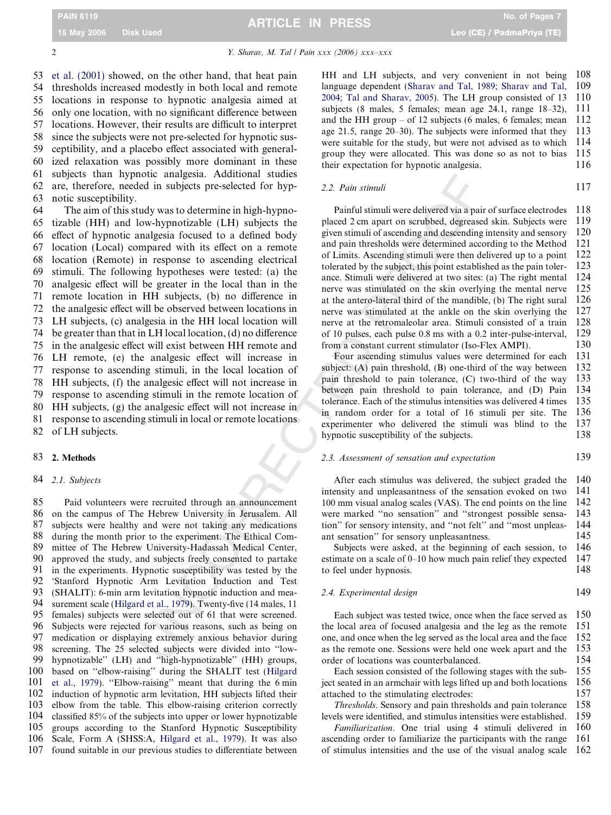53 [et al. \(2001\)](#page-6-0) showed, on the other hand, that heat pain 54 thresholds increased modestly in both local and remote 55 locations in response to hypnotic analgesia aimed at 56 only one location, with no significant difference between 57 locations. However, their results are difficult to interpret 58 since the subjects were not pre-selected for hypnotic sus-59 ceptibility, and a placebo effect associated with general-60 ized relaxation was possibly more dominant in these 61 subjects than hypnotic analgesia. Additional studies 62 are, therefore, needed in subjects pre-selected for hyp-63 notic susceptibility.

oted analogosic. Natural states and the state of the states and states and states and states are states and the proposition of states and the states are states are the states are the states are the states are the states a 64 The aim of this study was to determine in high-hypno-65 tizable (HH) and low-hypnotizable (LH) subjects the 66 effect of hypnotic analgesia focused to a defined body 67 location (Local) compared with its effect on a remote 68 location (Remote) in response to ascending electrical 69 stimuli. The following hypotheses were tested: (a) the 70 analgesic effect will be greater in the local than in the 71 remote location in HH subjects, (b) no difference in 72 the analgesic effect will be observed between locations in 73 LH subjects, (c) analgesia in the HH local location will 74 be greater than that in LH local location, (d) no difference 75 in the analgesic effect will exist between HH remote and 76 LH remote, (e) the analgesic effect will increase in 77 response to ascending stimuli, in the local location of 78 HH subjects, (f) the analgesic effect will not increase in 79 response to ascending stimuli in the remote location of 80 HH subjects, (g) the analgesic effect will not increase in 81 response to ascending stimuli in local or remote locations 82 of LH subjects.

### 83 2. Methods

### 84 2.1. Subjects

 Paid volunteers were recruited through an announcement on the campus of The Hebrew University in Jerusalem. All subjects were healthy and were not taking any medications during the month prior to the experiment. The Ethical Com- mittee of The Hebrew University-Hadassah Medical Center, approved the study, and subjects freely consented to partake in the experiments. Hypnotic susceptibility was tested by the 'Stanford Hypnotic Arm Levitation Induction and Test (SHALIT): 6-min arm levitation hypnotic induction and mea- surement scale ([Hilgard et al., 1979\)](#page-6-0). Twenty-five (14 males, 11 females) subjects were selected out of 61 that were screened. Subjects were rejected for various reasons, such as being on medication or displaying extremely anxious behavior during screening. The 25 selected subjects were divided into ''low- hypnotizable'' (LH) and ''high-hypnotizable'' (HH) groups, based on ''elbow-raising'' during the SHALIT test [\(Hilgard](#page-6-0) [et al., 1979](#page-6-0)). ''Elbow-raising'' meant that during the 6 min induction of hypnotic arm levitation, HH subjects lifted their elbow from the table. This elbow-raising criterion correctly classified 85% of the subjects into upper or lower hypnotizable groups according to the Stanford Hypnotic Susceptibility Scale, Form A (SHSS:A, [Hilgard et al., 1979](#page-6-0)). It was also found suitable in our previous studies to differentiate between

HH and LH subjects, and very convenient in not being 108 language dependent ([Sharav and Tal, 1989; Sharav and Tal,](#page-6-0) 109 [2004; Tal and Sharav, 2005\)](#page-6-0). The LH group consisted of 13 110 subjects (8 males, 5 females; mean age 24.1, range 18–32), 111 and the HH group – of 12 subjects (6 males, 6 females; mean  $112$ age 21.5, range 20–30). The subjects were informed that they 113 were suitable for the study, but were not advised as to which 114 group they were allocated. This was done so as not to bias 115 their expectation for hypnotic analgesia. 116

| 2.2. Pain stimuli |  |
|-------------------|--|
|                   |  |

Painful stimuli were delivered via a pair of surface electrodes 118 placed 2 cm apart on scrubbed, degreased skin. Subjects were 119 given stimuli of ascending and descending intensity and sensory 120 and pain thresholds were determined according to the Method 121 of Limits. Ascending stimuli were then delivered up to a point 122 tolerated by the subject, this point established as the pain toler- 123 ance. Stimuli were delivered at two sites: (a) The right mental 124 nerve was stimulated on the skin overlying the mental nerve 125 at the antero-lateral third of the mandible, (b) The right sural 126 nerve was stimulated at the ankle on the skin overlying the 127 nerve at the retromaleolar area. Stimuli consisted of a train 128 of 10 pulses, each pulse 0.8 ms with a 0.2 inter-pulse-interval, 129 from a constant current stimulator (Iso-Flex AMPI). 130

Four ascending stimulus values were determined for each 131 subject: (A) pain threshold, (B) one-third of the way between 132 pain threshold to pain tolerance, (C) two-third of the way 133 between pain threshold to pain tolerance, and (D) Pain 134 tolerance. Each of the stimulus intensities was delivered 4 times 135 in random order for a total of 16 stimuli per site. The 136 experimenter who delivered the stimuli was blind to the 137 hypnotic susceptibility of the subjects. 138

## 2.3. Assessment of sensation and expectation 139

After each stimulus was delivered, the subject graded the 140 intensity and unpleasantness of the sensation evoked on two 141 100 mm visual analog scales (VAS). The end points on the line 142 were marked ''no sensation'' and ''strongest possible sensa- 143 tion'' for sensory intensity, and ''not felt'' and ''most unpleas- 144 ant sensation'' for sensory unpleasantness. 145

Subjects were asked, at the beginning of each session, to 146 estimate on a scale of 0–10 how much pain relief they expected 147 to feel under hypnosis. 148

### 2.4. Experimental design 149

Each subject was tested twice, once when the face served as 150 the local area of focused analgesia and the leg as the remote 151 one, and once when the leg served as the local area and the face 152 as the remote one. Sessions were held one week apart and the 153 order of locations was counterbalanced. 154

Each session consisted of the following stages with the sub- 155 ject seated in an armchair with legs lifted up and both locations 156 attached to the stimulating electrodes: 157<br>Thresholds. Sensory and pain thresholds and pain tolerance 158

Thresholds. Sensory and pain thresholds and pain tolerance levels were identified, and stimulus intensities were established. 159

Familiarization. One trial using 4 stimuli delivered in 160 ascending order to familiarize the participants with the range 161 of stimulus intensities and the use of the visual analog scale 162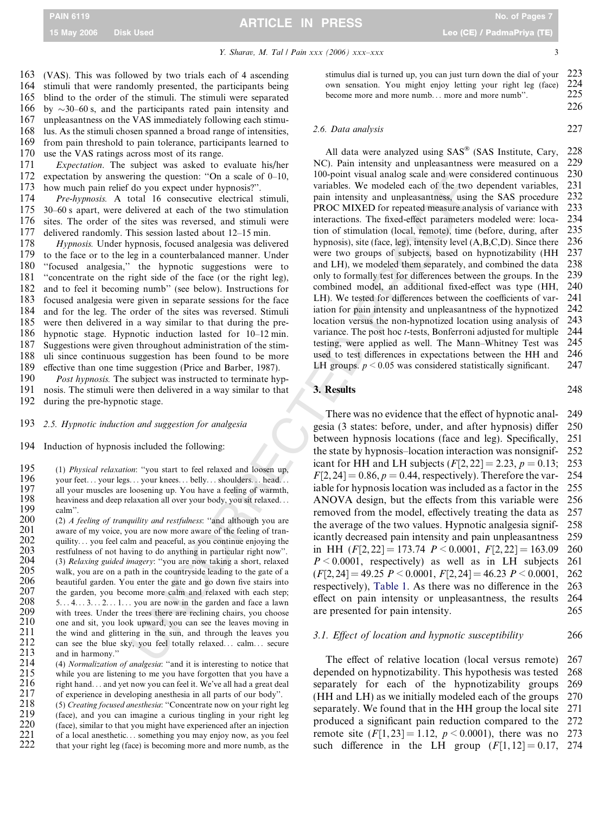Y. Sharav, M. Tal / Pain xxx (2006) xxx-xxx

3

226

 (VAS). This was followed by two trials each of 4 ascending stimuli that were randomly presented, the participants being blind to the order of the stimuli. The stimuli were separated 166  $\sim$ 30–60 s, and the participants rated pain intensity and unpleasantness on the VAS immediately following each stimu- lus. As the stimuli chosen spanned a broad range of intensities, from pain threshold to pain tolerance, participants learned to use the VAS ratings across most of its range.

171 Expectation. The subject was asked to evaluate his/her 172 expectation by answering the question: ''On a scale of 0–10, 173 how much pain relief do you expect under hypnosis?''.

174 Pre-hypnosis. A total 16 consecutive electrical stimuli, 175 30–60 s apart, were delivered at each of the two stimulation 176 sites. The order of the sites was reversed, and stimuli were sites. The order of the sites was reversed, and stimuli were 177 delivered randomly. This session lasted about 12–15 min.

178 Hypnosis. Under hypnosis, focused analgesia was delivered 179 to the face or to the leg in a counterbalanced manner. Under to the face or to the leg in a counterbalanced manner. Under 180 ''focused analgesia,'' the hypnotic suggestions were to 181 "concentrate on the right side of the face (or the right leg), 182 and to feel it becoming numb'' (see below). Instructions for 183 focused analgesia were given in separate sessions for the face<br>184 and for the leg. The order of the sites was reversed. Stimuli and for the leg. The order of the sites was reversed. Stimuli 185 were then delivered in a way similar to that during the pre-186 hypnotic stage. Hypnotic induction lasted for 10–12 min. 187 Suggestions were given throughout administration of the stim-188 uli since continuous suggestion has been found to be more 189 effective than one time suggestion (Price and Barber, 1987).

190 Post hypnosis. The subject was instructed to terminate hyp-191 nosis. The stimuli were then delivered in a way similar to that 192 during the pre-hypnotic stage.

193 2.5. Hypnotic induction and suggestion for analgesia

194 Induction of hypnosis included the following:

195 (1) *Physical relaxation*: "you start to feel relaxed and loosen up,<br>196 vour feet vour legs vour knees helly shoulders head 196 your feet... your legs... your knees... belly... shoulders... head...  $197$  all your muscles are loosening up. You have a feeling of warmth. 197 all your muscles are loosening up. You have a feeling of warmth,<br>198 beaviness and deep relaxation all over your body you sit relaxed. 198 heaviness and deep relaxation all over your body, you sit relaxed...<br>199 calm". 199 calm".<br>200 (2) *A* 

200 (2) A feeling of tranquility and restfulness: "and although you are  $201$  aware of my voice, you are now more aware of the feeling of tran- $201$  aware of my voice, you are now more aware of the feeling of tran-<br> $202$  auility... you feel calm and peaceful, as you continue enioving the 202 quility... you feel calm and peaceful, as you continue enjoying the restfulness of not having to do anything in particular right now". 203 restfulness of not having to do anything in particular right now".<br>204 (3) Relaxing quided imagery: "you are now taking a short, relaxed 204 (3) *Relaxing guided imagery*: "you are now taking a short, relaxed  $205$  walk you are on a path in the countryside leading to the gate of a 205 walk, you are on a path in the countryside leading to the gate of a 206 beautiful garden. You enter the gate and go down five stairs into 206 beautiful garden. You enter the gate and go down five stairs into 207 the garden, you become more calm and relaxed with each step; the garden, you become more calm and relaxed with each step; 208<br>209 5... 4... 3... 2... 1... you are now in the garden and face a lawn 209 with trees. Under the trees there are reclining chairs, you choose 210 one and sit, you look unward, you can see the leaves moving in 210 one and sit, you look upward, you can see the leaves moving in 211 the wind and glittering in the sun, and through the leaves you 211 the wind and glittering in the sun, and through the leaves you can see the blue sky, you feel totally relaxed... calm... secure 212 can see the blue sky, you feel totally relaxed... calm... secure 213 and in harmony."  $213$  and in harmony."<br>214 (4) Normalization

214 (4) Normalization of analgesia: "and it is interesting to notice that  $215$  while you are listening to me you have forgotten that you have a 215 while you are listening to me you have forgotten that you have a  $216$  right hand... and vet now you can feel it. We've all had a great deal 216 right hand... and yet now you can feel it. We've all had a great deal  $217$  of experience in developing anesthesia in all parts of our body". 217 of experience in developing anesthesia in all parts of our body".<br>
218 (5) Creating focused anesthesia: "Concentrate now on your right le

218 (5) *Creating focused anesthesia*: "Concentrate now on your right leg 219 (face), and you can imagine a curious tingling in your right leg 219 (face), and you can imagine a curious tingling in your right leg  $220$  (face), similar to that you might have experienced after an injection 220 (face), similar to that you might have experienced after an injection  $221$  of a local anesthetic... something you may enjoy now, as you feel 221 of a local anesthetic... something you may enjoy now, as you feel<br>222 that your right leg (face) is becoming more and more numb, as the that your right leg (face) is becoming more and more numb, as the stimulus dial is turned up, you can just turn down the dial of your 223<br>own sensation. You might enjoy letting your right leg (face)  $2.24$ own sensation. You might enjoy letting your right leg (face) 224 become more and more numb... more and more numb".

### 2.6. Data analysis 227

All data were analyzed using SAS® (SAS Institute, Cary, 228 NC). Pain intensity and unpleasantness were measured on a 229 100-point visual analog scale and were considered continuous 230 variables. We modeled each of the two dependent variables, 231 pain intensity and unpleasantness, using the SAS procedure 232<br>PROC MIXED for repeated measure analysis of variance with 233 PROC MIXED for repeated measure analysis of variance with interactions. The fixed-effect parameters modeled were: loca- 234 tion of stimulation (local, remote), time (before, during, after 235 hypnosis), site (face, leg), intensity level (A,B,C,D). Since there 236 were two groups of subjects, based on hypnotizability (HH 237 and LH), we modeled them separately, and combined the data 238 and LH), we modeled them separately, and combined the data only to formally test for differences between the groups. In the 239 combined model, an additional fixed-effect was type (HH, 240 LH). We tested for differences between the coefficients of var- 241 iation for pain intensity and unpleasantness of the hypnotized 242 location versus the non-hypnotized location using analysis of 243 variance. The post hoc t-tests, Bonferroni adjusted for multiple 244 testing, were applied as well. The Mann–Whitney Test was 245 used to test differences in expectations between the HH and LH groups.  $p < 0.05$  was considered statistically significant. 247

3. Results 248

ring the question: "On a scale of 0-10, 000-point visual analog scale and were<br>considerate. The assets are developed and with the propagation of the two ostimulation<br>of the two stimulation parameterisal state and the two There was no evidence that the effect of hypnotic anal- 249 gesia (3 states: before, under, and after hypnosis) differ 250 between hypnosis locations (face and leg). Specifically, 251 the state by hypnosis–location interaction was nonsignif- 252 icant for HH and LH subjects  $(F[2, 22] = 2.23, p = 0.13; 253$  $F[2, 24] = 0.86, p = 0.44$ , respectively). Therefore the var- 254 iable for hypnosis location was included as a factor in the 255 ANOVA design, but the effects from this variable were 256 removed from the model, effectively treating the data as 257 the average of the two values. Hypnotic analgesia signif- 258 icantly decreased pain intensity and pain unpleasantness 259 in HH  $(F[2, 22] = 173.74$   $P < 0.0001$ ,  $F[2, 22] = 163.09$  260  $P \le 0.0001$ , respectively) as well as in LH subjects 261  $(F[2, 24] = 49.25 \ P \le 0.0001, F[2, 24] = 46.23 \ P \le 0.0001, 262$ respectively), [Table 1.](#page-3-0) As there was no difference in the 263 effect on pain intensity or unpleasantness, the results 264 are presented for pain intensity. 265

### 3.1. Effect of location and hypnotic susceptibility 266

The effect of relative location (local versus remote) 267 depended on hypnotizability. This hypothesis was tested 268 separately for each of the hypnotizability groups 269 (HH and LH) as we initially modeled each of the groups 270 separately. We found that in the HH group the local site 271 produced a significant pain reduction compared to the 272 remote site  $(F[1, 23] = 1.12, p \le 0.0001)$ , there was no 273 such difference in the LH group  $(F[1, 12] = 0.17, 274$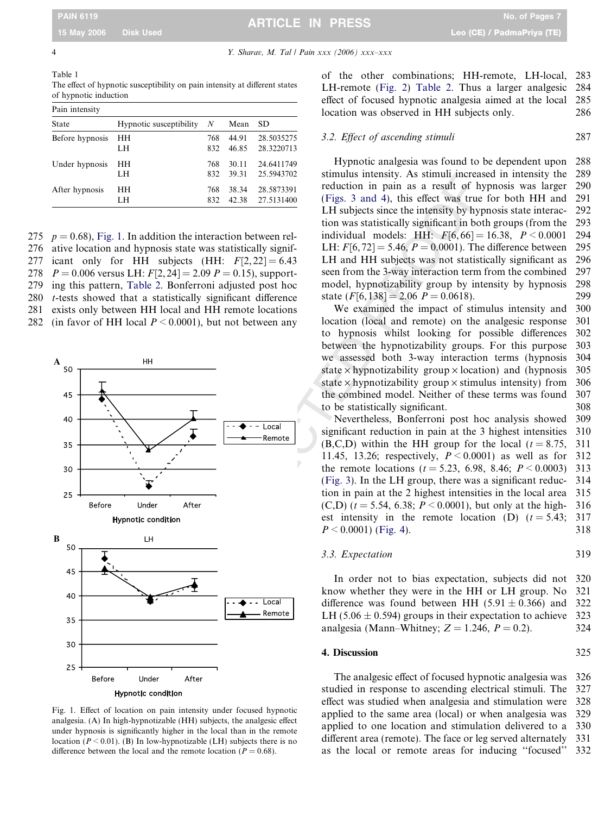<span id="page-3-0"></span>4 Y. Sharav, M. Tal / Pain xxx (2006) xxx–xxx

Table 1 The effect of hypnotic susceptibility on pain intensity at different states of hypnotic induction

| Pain intensity  |                         |     |       |            |  |  |  |  |
|-----------------|-------------------------|-----|-------|------------|--|--|--|--|
| State           | Hypnotic susceptibility | N   | Mean  | SD.        |  |  |  |  |
| Before hypnosis | HН                      | 768 | 44.91 | 28.5035275 |  |  |  |  |
|                 | LH                      | 832 | 46.85 | 28.3220713 |  |  |  |  |
| Under hypnosis  | HН                      | 768 | 30.11 | 24.6411749 |  |  |  |  |
|                 | LH                      | 832 | 39.31 | 25.5943702 |  |  |  |  |
| After hypnosis  | HН                      | 768 | 38.34 | 28.5873391 |  |  |  |  |
|                 | LH                      | 832 | 42.38 | 27.5131400 |  |  |  |  |

275  $p = 0.68$ ), Fig. 1. In addition the interaction between rel-276 ative location and hypnosis state was statistically signif-277 icant only for HH subjects (HH:  $F[2, 22] = 6.43$ 278  $P = 0.006$  versus LH:  $F[2, 24] = 2.09$   $P = 0.15$ ), support-279 ing this pattern, [Table 2](#page-4-0). Bonferroni adjusted post hoc 280 t-tests showed that a statistically significant difference 281 exists only between HH local and HH remote locations 282 (in favor of HH local  $P \le 0.0001$ ), but not between any



Fig. 1. Effect of location on pain intensity under focused hypnotic analgesia. (A) In high-hypnotizable (HH) subjects, the analgesic effect under hypnosis is significantly higher in the local than in the remote location ( $P \le 0.01$ ). (B) In low-hypnotizable (LH) subjects there is no difference between the local and the remote location ( $P = 0.68$ ).

of the other combinations; HH-remote, LH-local, 283 LH-remote ([Fig. 2](#page-4-0) ) [Table 2.](#page-4-0) Thus a larger analgesic 284 effect of focused hypnotic analgesia aimed at the local 285 location was observed in HH subjects only. 286

### 3.2. Effect of ascending stimuli 287

Hypnotic analgesia was found to be dependent upon 288 stimulus intensity. As stimuli increased in intensity the 289 reduction in pain as a result of hypnosis was larger 290 ([Figs. 3 and 4\)](#page-4-0), this effect was true for both HH and 291 LH subjects since the intensity by hypnosis state interac- 292 tion was statistically significant in both groups (from the 293 individual models: HH:  $F[6, 66] = 16.38, P < 0.0001$  294 LH:  $F[6, 72] = 5.46, P = 0.0001$ . The difference between 295 LH and HH subjects was not statistically significant as 296 seen from the 3-way interaction term from the combined 297 model, hypnotizability group by intensity by hypnosis 298 state  $(F[6, 138] = 2.06 \, P = 0.0618)$ . 299

We examined the impact of stimulus intensity and 300 location (local and remote) on the analgesic response 301 to hypnosis whilst looking for possible differences 302 between the hypnotizability groups. For this purpose 303 we assessed both 3-way interaction terms (hypnosis 304 state  $\times$  hypnotizability group  $\times$  location) and (hypnosis 305 state  $\times$  hypnotizability group  $\times$  stimulus intensity) from 306 the combined model. Neither of these terms was found 307 to be statistically significant. 308

Nevertheless, Bonferroni post hoc analysis showed 309 significant reduction in pain at the 3 highest intensities 310  $(B,C,D)$  within the HH group for the local  $(t = 8.75, 311)$ 11.45, 13.26; respectively,  $P < 0.0001$ ) as well as for 312 the remote locations ( $t = 5.23, 6.98, 8.46; P \le 0.0003$ ) 313 (Fig. 3). In the LH group, there was a significant reduc- 314 tion in pain at the 2 highest intensities in the local area 315  $(C,D)$  ( $t = 5.54$ , 6.38;  $P \le 0.0001$ ), but only at the high- 316 est intensity in the remote location (D)  $(t = 5.43; 317)$  $P \le 0.0001$  ([Fig. 4\)](#page-5-0). 318

### 3.3. Expectation 319

In order not to bias expectation, subjects did not 320 know whether they were in the HH or LH group. No 321 difference was found between HH (5.91  $\pm$  0.366) and 322 LH (5.06  $\pm$  0.594) groups in their expectation to achieve 323 analgesia (Mann–Whitney;  $Z = 1.246$ ,  $P = 0.2$ ). 324

### 4. Discussion 325

The analgesic effect of focused hypnotic analgesia was 326 studied in response to ascending electrical stimuli. The 327 effect was studied when analgesia and stimulation were 328 applied to the same area (local) or when analgesia was 329 applied to one location and stimulation delivered to a 330 different area (remote). The face or leg served alternately 331 as the local or remote areas for inducing ''focused'' 332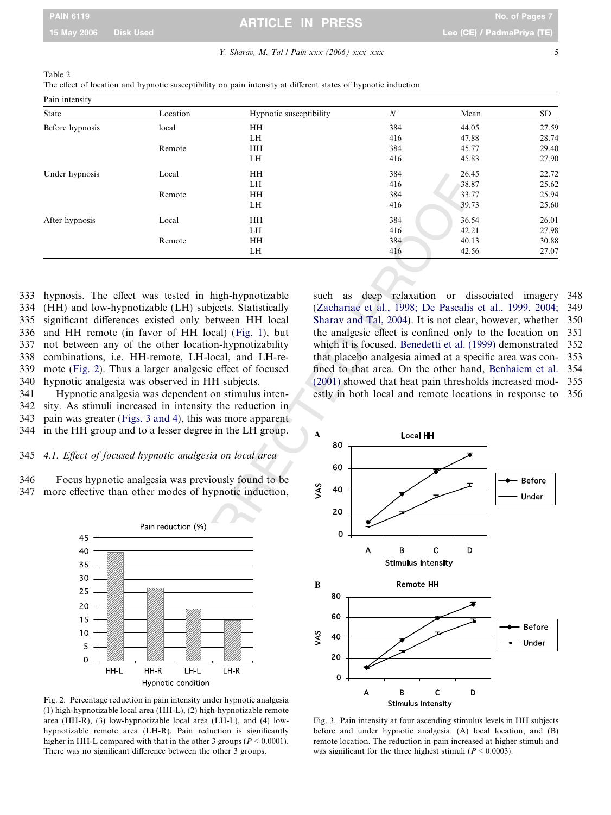# <span id="page-4-0"></span>PAIN 6119 No. of Pages 7 ARTICLE IN PRESS

### Y. Sharav, M. Tal / Pain xxx (2006) xxx-xxx

| Pain intensity  |          |                         |                  |       |           |
|-----------------|----------|-------------------------|------------------|-------|-----------|
| <b>State</b>    | Location | Hypnotic susceptibility | $\boldsymbol{N}$ | Mean  | <b>SD</b> |
| Before hypnosis | local    | HH                      | 384              | 44.05 | 27.59     |
|                 |          | LH                      | 416              | 47.88 | 28.74     |
|                 | Remote   | <b>HH</b>               | 384              | 45.77 | 29.40     |
|                 |          | LH                      | 416              | 45.83 | 27.90     |
| Under hypnosis  | Local    | <b>HH</b>               | 384              | 26.45 | 22.72     |
|                 |          | <b>LH</b>               | 416              | 38.87 | 25.62     |
|                 | Remote   | <b>HH</b>               | 384              | 33.77 | 25.94     |
|                 |          | LH.                     | 416              | 39.73 | 25.60     |
| After hypnosis  | Local    | <b>HH</b>               | 384              | 36.54 | 26.01     |
|                 |          | LH.                     | 416              | 42.21 | 27.98     |
|                 | Remote   | <b>HH</b>               | 384              | 40.13 | 30.88     |
|                 |          | LH                      | 416              | 42.56 | 27.07     |

Table 2

The effect of location and hypnotic susceptibility on pain intensity at different states of hypnotic induction

333 hypnosis. The effect was tested in high-hypnotizable 334 (HH) and low-hypnotizable (LH) subjects. Statistically 335 significant differences existed only between HH local 336 and HH remote (in favor of HH local) ([Fig. 1](#page-3-0)), but 337 not between any of the other location-hypnotizability 338 combinations, i.e. HH-remote, LH-local, and LH-re-339 mote (Fig. 2). Thus a larger analgesic effect of focused 340 hypnotic analgesia was observed in HH subjects.

341 Hypnotic analgesia was dependent on stimulus inten-342 sity. As stimuli increased in intensity the reduction in 343 pain was greater (Figs. 3 and 4), this was more apparent 344 in the HH group and to a lesser degree in the LH group.

# 345 4.1. Effect of focused hypnotic analgesia on local area

346 Focus hypnotic analgesia was previously found to be 347 more effective than other modes of hypnotic induction,



Fig. 2. Percentage reduction in pain intensity under hypnotic analgesia (1) high-hypnotizable local area (HH-L), (2) high-hypnotizable remote area (HH-R), (3) low-hypnotizable local area (LH-L), and (4) lowhypnotizable remote area (LH-R). Pain reduction is significantly higher in HH-L compared with that in the other 3 groups ( $P \le 0.0001$ ). There was no significant difference between the other 3 groups.

such as deep relaxation or dissociated imagery 348 ([Zachariae et al., 1998; De Pascalis et al., 1999, 2004;](#page-6-0) 349 [Sharav and Tal, 2004](#page-6-0)). It is not clear, however, whether 350 the analgesic effect is confined only to the location on 351 which it is focused. [Benedetti et al. \(1999\)](#page-6-0) demonstrated 352 that placebo analgesia aimed at a specific area was con- 353 fined to that area. On the other hand, [Benhaiem et al.](#page-6-0) 354 (2001) showed that heat pain thresholds increased mod- 355 estly in both local and remote locations in response to 356



Fig. 3. Pain intensity at four ascending stimulus levels in HH subjects before and under hypnotic analgesia: (A) local location, and (B) remote location. The reduction in pain increased at higher stimuli and was significant for the three highest stimuli ( $P \le 0.0003$ ).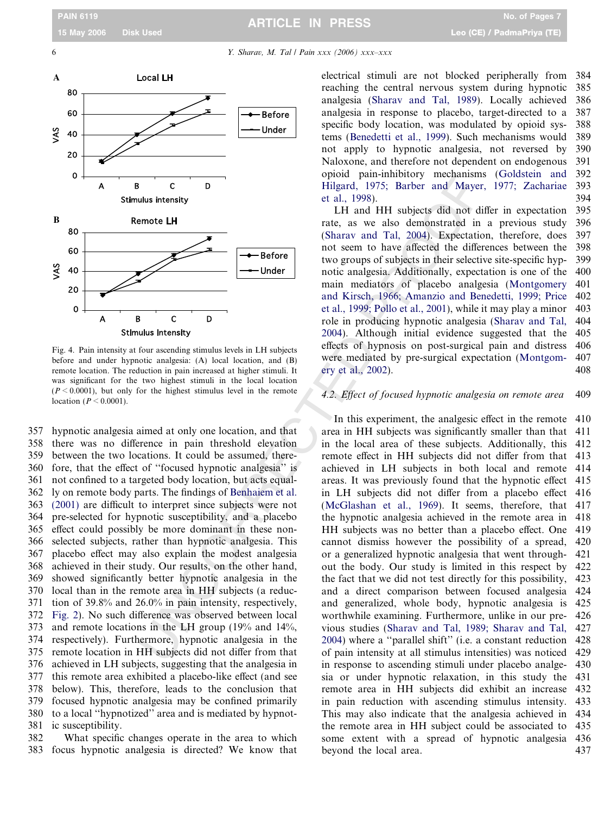<span id="page-5-0"></span>

Fig. 4. Pain intensity at four ascending stimulus levels in LH subjects before and under hypnotic analgesia: (A) local location, and (B) remote location. The reduction in pain increased at higher stimuli. It was significant for the two highest stimuli in the local location  $(P \le 0.0001)$ , but only for the highest stimulus level in the remote location  $(P < 0.0001)$ .

357 hypnotic analgesia aimed at only one location, and that 358 there was no difference in pain threshold elevation 359 between the two locations. It could be assumed, there-360 fore, that the effect of ''focused hypnotic analgesia'' is 361 not confined to a targeted body location, but acts equal-362 ly on remote body parts. The findings of Benhaiem et al. 363 [\(2001\)](#page-6-0) are difficult to interpret since subjects were not 364 pre-selected for hypnotic susceptibility, and a placebo 365 effect could possibly be more dominant in these non-366 selected subjects, rather than hypnotic analgesia. This 367 placebo effect may also explain the modest analgesia 368 achieved in their study. Our results, on the other hand, 369 showed significantly better hypnotic analgesia in the 370 local than in the remote area in HH subjects (a reduc-371 tion of 39.8% and 26.0% in pain intensity, respectively, 372 [Fig. 2](#page-4-0)). No such difference was observed between local 373 and remote locations in the LH group (19% and 14%, 374 respectively). Furthermore, hypnotic analgesia in the 375 remote location in HH subjects did not differ from that 376 achieved in LH subjects, suggesting that the analgesia in 377 this remote area exhibited a placebo-like effect (and see 378 below). This, therefore, leads to the conclusion that 379 focused hypnotic analgesia may be confined primarily 380 to a local ''hypnotized'' area and is mediated by hypnot-381 ic susceptibility.

382 What specific changes operate in the area to which 383 focus hypnotic analgesia is directed? We know that electrical stimuli are not blocked peripherally from 384 reaching the central nervous system during hypnotic 385 analgesia ([Sharav and Tal, 1989\)](#page-6-0). Locally achieved 386 analgesia in response to placebo, target-directed to a 387 specific body location, was modulated by opioid sys- 388 tems [\(Benedetti et al., 1999\)](#page-6-0). Such mechanisms would 389 not apply to hypnotic analgesia, not reversed by 390 Naloxone, and therefore not dependent on endogenous 391 opioid pain-inhibitory mechanisms [\(Goldstein and](#page-6-0) 392 [Hilgard, 1975; Barber and Mayer, 1977; Zachariae](#page-6-0) 393 [et al., 1998](#page-6-0)). 394

LH and HH subjects did not differ in expectation 395 rate, as we also demonstrated in a previous study 396 ([Sharav and Tal, 2004](#page-6-0)). Expectation, therefore, does 397 not seem to have affected the differences between the 398 two groups of subjects in their selective site-specific hyp- 399 notic analgesia. Additionally, expectation is one of the 400 main mediators of placebo analgesia ([Montgomery](#page-6-0) 401 [and Kirsch, 1966; Amanzio and Benedetti, 1999; Price](#page-6-0) 402 [et al., 1999; Pollo et al., 2001\)](#page-6-0), while it may play a minor 403 role in producing hypnotic analgesia ([Sharav and Tal,](#page-6-0) 404 [2004\)](#page-6-0). Although initial evidence suggested that the 405 effects of hypnosis on post-surgical pain and distress 406 were mediated by pre-surgical expectation [\(Montgom-](#page-6-0) 407 [ery et al., 2002\)](#page-6-0). 408

### 4.2. Effect of focused hypnotic analgesia on remote area 409

Cution is the same of the time in the same and the same and the same and the same of the same of the same of the same of the same of the same of the same of the same of the same of the same of the same of the same of the In this experiment, the analgesic effect in the remote 410 area in HH subjects was significantly smaller than that 411 in the local area of these subjects. Additionally, this 412 remote effect in HH subjects did not differ from that 413 achieved in LH subjects in both local and remote 414 areas. It was previously found that the hypnotic effect 415 in LH subjects did not differ from a placebo effect 416 ([McGlashan et al., 1969\)](#page-6-0). It seems, therefore, that 417 the hypnotic analgesia achieved in the remote area in 418 HH subjects was no better than a placebo effect. One 419 cannot dismiss however the possibility of a spread, 420 or a generalized hypnotic analgesia that went through- 421 out the body. Our study is limited in this respect by 422 the fact that we did not test directly for this possibility, 423 and a direct comparison between focused analgesia 424 and generalized, whole body, hypnotic analgesia is 425 worthwhile examining. Furthermore, unlike in our pre- 426 vious studies ([Sharav and Tal, 1989; Sharav and Tal,](#page-6-0) 427 2004) where a ''parallel shift'' (i.e. a constant reduction 428 of pain intensity at all stimulus intensities) was noticed 429 in response to ascending stimuli under placebo analge- 430 sia or under hypnotic relaxation, in this study the 431 remote area in HH subjects did exhibit an increase 432 in pain reduction with ascending stimulus intensity. 433 This may also indicate that the analgesia achieved in 434 the remote area in HH subject could be associated to 435 some extent with a spread of hypnotic analgesia 436 beyond the local area. 437